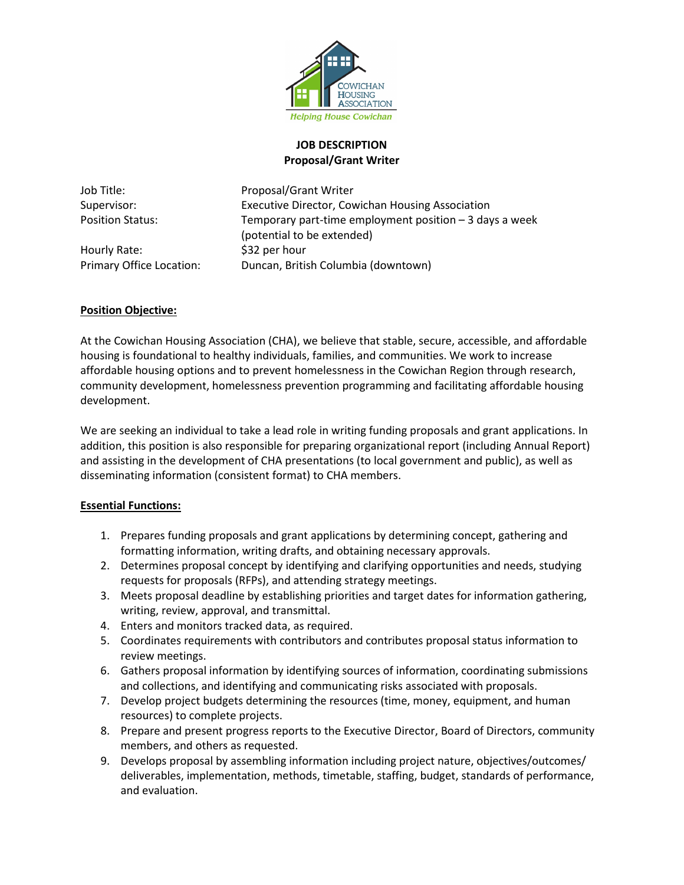

### **JOB DESCRIPTION Proposal/Grant Writer**

Hourly Rate:  $$32$  per hour

Job Title: Proposal/Grant Writer Supervisor: Executive Director, Cowichan Housing Association Position Status: Temporary part-time employment position – 3 days a week (potential to be extended) Primary Office Location: Duncan, British Columbia (downtown)

## **Position Objective:**

At the Cowichan Housing Association (CHA), we believe that stable, secure, accessible, and affordable housing is foundational to healthy individuals, families, and communities. We work to increase affordable housing options and to prevent homelessness in the Cowichan Region through research, community development, homelessness prevention programming and facilitating affordable housing development.

We are seeking an individual to take a lead role in writing funding proposals and grant applications. In addition, this position is also responsible for preparing organizational report (including Annual Report) and assisting in the development of CHA presentations (to local government and public), as well as disseminating information (consistent format) to CHA members.

#### **Essential Functions:**

- 1. Prepares funding proposals and grant applications by determining concept, gathering and formatting information, writing drafts, and obtaining necessary approvals.
- 2. Determines proposal concept by identifying and clarifying opportunities and needs, studying requests for proposals (RFPs), and attending strategy meetings.
- 3. Meets proposal deadline by establishing priorities and target dates for information gathering, writing, review, approval, and transmittal.
- 4. Enters and monitors tracked data, as required.
- 5. Coordinates requirements with contributors and contributes proposal status information to review meetings.
- 6. Gathers proposal information by identifying sources of information, coordinating submissions and collections, and identifying and communicating risks associated with proposals.
- 7. Develop project budgets determining the resources (time, money, equipment, and human resources) to complete projects.
- 8. Prepare and present progress reports to the Executive Director, Board of Directors, community members, and others as requested.
- 9. Develops proposal by assembling information including project nature, objectives/outcomes/ deliverables, implementation, methods, timetable, staffing, budget, standards of performance, and evaluation.